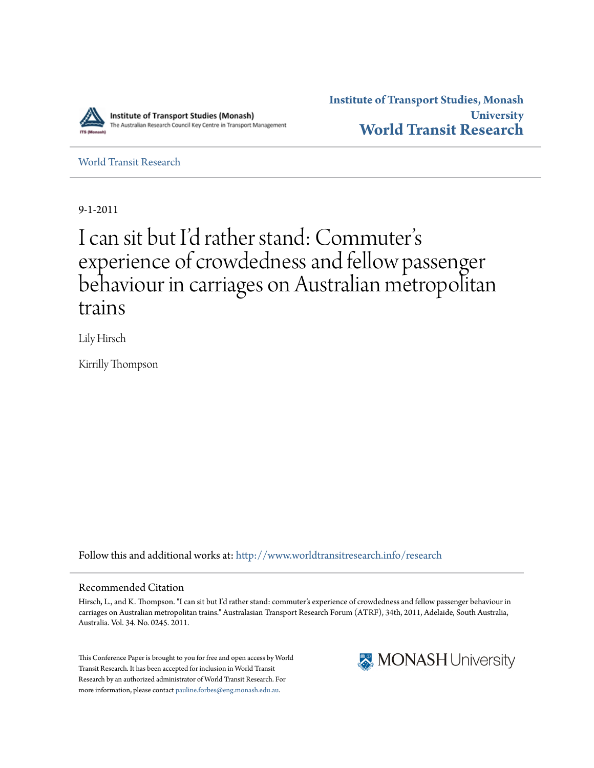

**Institute of Transport Studies, Monash University [World Transit Research](http://www.worldtransitresearch.info?utm_source=www.worldtransitresearch.info%2Fresearch%2F4323&utm_medium=PDF&utm_campaign=PDFCoverPages)**

[World Transit Research](http://www.worldtransitresearch.info/research?utm_source=www.worldtransitresearch.info%2Fresearch%2F4323&utm_medium=PDF&utm_campaign=PDFCoverPages)

9-1-2011

# I can sit but I'd rather stand: Commuter s י<br>' י experience of crowdedness and fellow passenger behaviour in carriages on Australian metropolitan trains

Lily Hirsch

Kirrilly Thompson

Follow this and additional works at: [http://www.worldtransitresearch.info/research](http://www.worldtransitresearch.info/research?utm_source=www.worldtransitresearch.info%2Fresearch%2F4323&utm_medium=PDF&utm_campaign=PDFCoverPages)

#### Recommended Citation

Hirsch, L., and K. Thompson. "I can sit but I'd rather stand: commuter's experience of crowdedness and fellow passenger behaviour in carriages on Australian metropolitan trains." Australasian Transport Research Forum (ATRF), 34th, 2011, Adelaide, South Australia, Australia. Vol. 34. No. 0245. 2011.

This Conference Paper is brought to you for free and open access by World Transit Research. It has been accepted for inclusion in World Transit Research by an authorized administrator of World Transit Research. For more information, please contact [pauline.forbes@eng.monash.edu.au](mailto:pauline.forbes@eng.monash.edu.au).

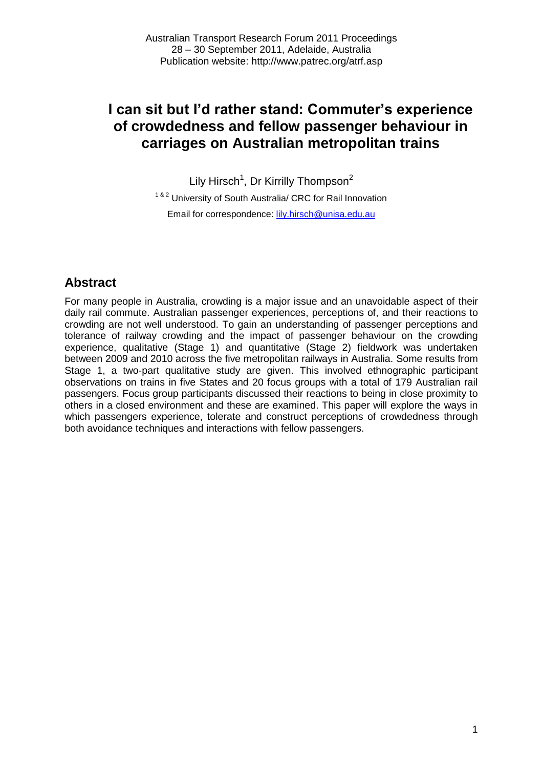Lily Hirsch<sup>1</sup>, Dr Kirrilly Thompson<sup>2</sup>

<sup>1 & 2</sup> University of South Australia/ CRC for Rail Innovation Email for correspondence: **lily.hirsch@unisa.edu.au** 

# **Abstract**

For many people in Australia, crowding is a major issue and an unavoidable aspect of their daily rail commute. Australian passenger experiences, perceptions of, and their reactions to crowding are not well understood. To gain an understanding of passenger perceptions and tolerance of railway crowding and the impact of passenger behaviour on the crowding experience, qualitative (Stage 1) and quantitative (Stage 2) fieldwork was undertaken between 2009 and 2010 across the five metropolitan railways in Australia. Some results from Stage 1, a two-part qualitative study are given. This involved ethnographic participant observations on trains in five States and 20 focus groups with a total of 179 Australian rail passengers. Focus group participants discussed their reactions to being in close proximity to others in a closed environment and these are examined. This paper will explore the ways in which passengers experience, tolerate and construct perceptions of crowdedness through both avoidance techniques and interactions with fellow passengers.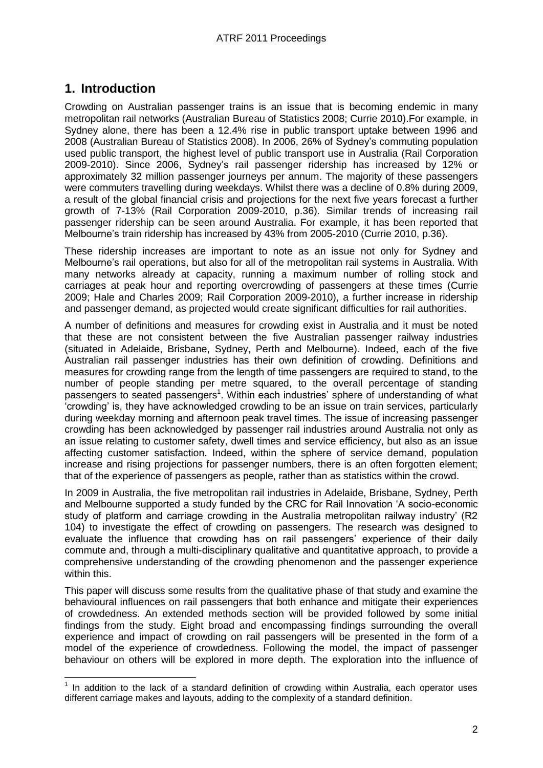# **1. Introduction**

Crowding on Australian passenger trains is an issue that is becoming endemic in many metropolitan rail networks [\(Australian Bureau of Statistics 2008;](#page-14-0) [Currie 2010\)](#page-14-1).For example, in Sydney alone, there has been a 12.4% rise in public transport uptake between 1996 and 2008 [\(Australian Bureau of Statistics 2008\)](#page-14-0). In 2006, 26% of Sydney"s commuting population used public transport, the highest level of public transport use in Australia [\(Rail Corporation](#page-15-0)  [2009-2010\)](#page-15-0). Since 2006, Sydney"s rail passenger ridership has increased by 12% or approximately 32 million passenger journeys per annum. The majority of these passengers were commuters travelling during weekdays. Whilst there was a decline of 0.8% during 2009, a result of the global financial crisis and projections for the next five years forecast a further growth of 7-13% [\(Rail Corporation 2009-2010, p.36\)](#page-15-0). Similar trends of increasing rail passenger ridership can be seen around Australia. For example, it has been reported that Melbourne's train ridership has increased by 43% from 2005-2010 [\(Currie 2010, p.36\)](#page-14-1).

These ridership increases are important to note as an issue not only for Sydney and Melbourne"s rail operations, but also for all of the metropolitan rail systems in Australia. With many networks already at capacity, running a maximum number of rolling stock and carriages at peak hour and reporting overcrowding of passengers at these times [\(Currie](#page-14-2)  [2009;](#page-14-2) [Hale and Charles 2009;](#page-15-1) [Rail Corporation 2009-2010\)](#page-15-0), a further increase in ridership and passenger demand, as projected would create significant difficulties for rail authorities.

A number of definitions and measures for crowding exist in Australia and it must be noted that these are not consistent between the five Australian passenger railway industries (situated in Adelaide, Brisbane, Sydney, Perth and Melbourne). Indeed, each of the five Australian rail passenger industries has their own definition of crowding. Definitions and measures for crowding range from the length of time passengers are required to stand, to the number of people standing per metre squared, to the overall percentage of standing passengers to seated passengers<sup>1</sup>. Within each industries' sphere of understanding of what "crowding" is, they have acknowledged crowding to be an issue on train services, particularly during weekday morning and afternoon peak travel times. The issue of increasing passenger crowding has been acknowledged by passenger rail industries around Australia not only as an issue relating to customer safety, dwell times and service efficiency, but also as an issue affecting customer satisfaction. Indeed, within the sphere of service demand, population increase and rising projections for passenger numbers, there is an often forgotten element; that of the experience of passengers as people, rather than as statistics within the crowd.

In 2009 in Australia, the five metropolitan rail industries in Adelaide, Brisbane, Sydney, Perth and Melbourne supported a study funded by the CRC for Rail Innovation "A socio-economic study of platform and carriage crowding in the Australia metropolitan railway industry" (R2 104) to investigate the effect of crowding on passengers. The research was designed to evaluate the influence that crowding has on rail passengers" experience of their daily commute and, through a multi-disciplinary qualitative and quantitative approach, to provide a comprehensive understanding of the crowding phenomenon and the passenger experience within this.

This paper will discuss some results from the qualitative phase of that study and examine the behavioural influences on rail passengers that both enhance and mitigate their experiences of crowdedness. An extended methods section will be provided followed by some initial findings from the study. Eight broad and encompassing findings surrounding the overall experience and impact of crowding on rail passengers will be presented in the form of a model of the experience of crowdedness. Following the model, the impact of passenger behaviour on others will be explored in more depth. The exploration into the influence of

**TEREN 1**<br><sup>1</sup> In addition to the lack of a standard definition of crowding within Australia, each operator uses different carriage makes and layouts, adding to the complexity of a standard definition.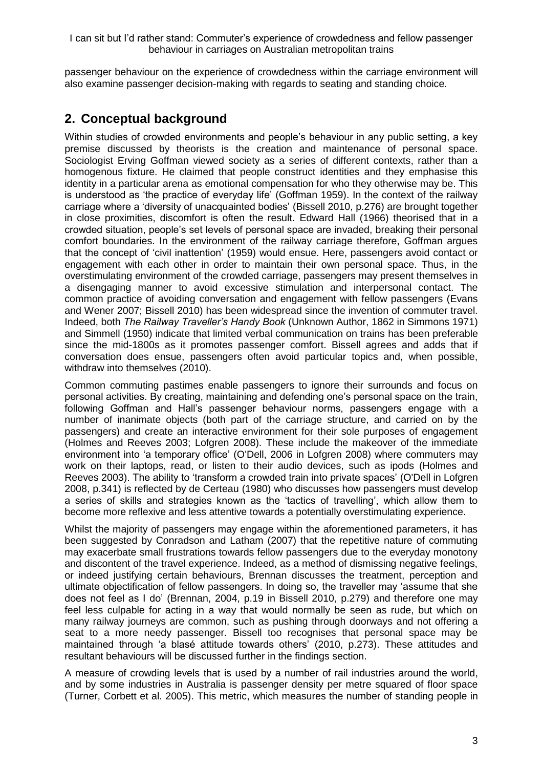passenger behaviour on the experience of crowdedness within the carriage environment will also examine passenger decision-making with regards to seating and standing choice.

## **2. Conceptual background**

Within studies of crowded environments and people"s behaviour in any public setting, a key premise discussed by theorists is the creation and maintenance of personal space. Sociologist Erving Goffman viewed society as a series of different contexts, rather than a homogenous fixture. He claimed that people construct identities and they emphasise this identity in a particular arena as emotional compensation for who they otherwise may be. This is understood as "the practice of everyday life" [\(Goffman 1959\)](#page-15-2). In the context of the railway carriage where a "diversity of unacquainted bodies" [\(Bissell 2010, p.276\)](#page-14-3) are brought together in close proximities, discomfort is often the result. Edward Hall [\(1966\)](#page-15-3) theorised that in a crowded situation, people"s set levels of personal space are invaded, breaking their personal comfort boundaries. In the environment of the railway carriage therefore, Goffman argues that the concept of "civil inattention" [\(1959\)](#page-15-2) would ensue. Here, passengers avoid contact or engagement with each other in order to maintain their own personal space. Thus, in the overstimulating environment of the crowded carriage, passengers may present themselves in a disengaging manner to avoid excessive stimulation and interpersonal contact. The common practice of avoiding conversation and engagement with fellow passengers [\(Evans](#page-15-4)  [and Wener 2007;](#page-15-4) [Bissell 2010\)](#page-14-3) has been widespread since the invention of commuter travel. Indeed, both *The Railway Traveller's Handy Book* [\(Unknown Author, 1862 in Simmons 1971\)](#page-15-5) and Simmell [\(1950\)](#page-15-6) indicate that limited verbal communication on trains has been preferable since the mid-1800s as it promotes passenger comfort. Bissell agrees and adds that if conversation does ensue, passengers often avoid particular topics and, when possible, withdraw into themselves [\(2010\)](#page-14-3).

Common commuting pastimes enable passengers to ignore their surrounds and focus on personal activities. By creating, maintaining and defending one"s personal space on the train, following Goffman and Hall"s passenger behaviour norms, passengers engage with a number of inanimate objects (both part of the carriage structure, and carried on by the passengers) and create an interactive environment for their sole purposes of engagement [\(Holmes and Reeves 2003;](#page-15-7) [Lofgren 2008\)](#page-15-8). These include the makeover of the immediate environment into "a temporary office" [\(O'Dell, 2006 in Lofgren 2008\)](#page-15-8) where commuters may work on their laptops, read, or listen to their audio devices, such as ipods [\(Holmes and](#page-15-7)  [Reeves 2003\)](#page-15-7). The ability to 'transform a crowded train into private spaces' (O'Dell in Lofgren [2008, p.341\)](#page-15-8) is reflected by de Certeau [\(1980\)](#page-14-4) who discusses how passengers must develop a series of skills and strategies known as the "tactics of travelling", which allow them to become more reflexive and less attentive towards a potentially overstimulating experience.

Whilst the majority of passengers may engage within the aforementioned parameters, it has been suggested by Conradson and Latham [\(2007\)](#page-14-5) that the repetitive nature of commuting may exacerbate small frustrations towards fellow passengers due to the everyday monotony and discontent of the travel experience. Indeed, as a method of dismissing negative feelings, or indeed justifying certain behaviours, Brennan discusses the treatment, perception and ultimate objectification of fellow passengers. In doing so, the traveller may "assume that she does not feel as I do" [\(Brennan, 2004, p.19 in Bissell 2010, p.279\)](#page-14-3) and therefore one may feel less culpable for acting in a way that would normally be seen as rude, but which on many railway journeys are common, such as pushing through doorways and not offering a seat to a more needy passenger. Bissell too recognises that personal space may be maintained through "a blasé attitude towards others" [\(2010, p.273\)](#page-14-3). These attitudes and resultant behaviours will be discussed further in the findings section.

A measure of crowding levels that is used by a number of rail industries around the world, and by some industries in Australia is passenger density per metre squared of floor space [\(Turner, Corbett et al. 2005\)](#page-15-9). This metric, which measures the number of standing people in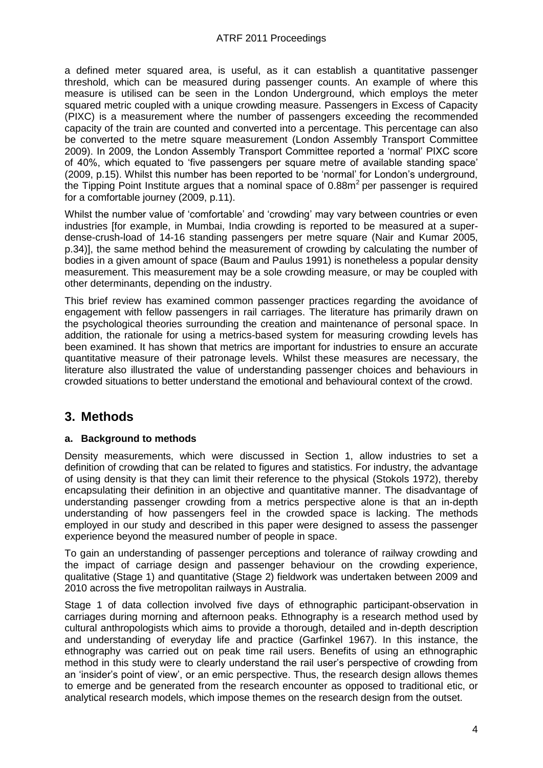a defined meter squared area, is useful, as it can establish a quantitative passenger threshold, which can be measured during passenger counts. An example of where this measure is utilised can be seen in the London Underground, which employs the meter squared metric coupled with a unique crowding measure. Passengers in Excess of Capacity (PIXC) is a measurement where the number of passengers exceeding the recommended capacity of the train are counted and converted into a percentage. This percentage can also be converted to the metre square measurement [\(London Assembly Transport Committee](#page-15-10)  [2009\)](#page-15-10). In 2009, the London Assembly Transport Committee reported a "normal" PIXC score of 40%, which equated to "five passengers per square metre of available standing space" [\(2009, p.15\)](#page-15-10). Whilst this number has been reported to be "normal" for London"s underground, the Tipping Point Institute argues that a nominal space of  $0.88m<sup>2</sup>$  per passenger is required for a comfortable journey [\(2009, p.11\)](#page-15-11).

Whilst the number value of "comfortable" and "crowding" may vary between countries or even industries [for example, in Mumbai, India crowding is reported to be measured at a superdense-crush-load of 14-16 standing passengers per metre square [\(Nair and Kumar 2005,](#page-15-12)  [p.34\)](#page-15-12)], the same method behind the measurement of crowding by calculating the number of bodies in a given amount of space [\(Baum and Paulus 1991\)](#page-14-6) is nonetheless a popular density measurement. This measurement may be a sole crowding measure, or may be coupled with other determinants, depending on the industry.

This brief review has examined common passenger practices regarding the avoidance of engagement with fellow passengers in rail carriages. The literature has primarily drawn on the psychological theories surrounding the creation and maintenance of personal space. In addition, the rationale for using a metrics-based system for measuring crowding levels has been examined. It has shown that metrics are important for industries to ensure an accurate quantitative measure of their patronage levels. Whilst these measures are necessary, the literature also illustrated the value of understanding passenger choices and behaviours in crowded situations to better understand the emotional and behavioural context of the crowd.

### **3. Methods**

#### **a. Background to methods**

Density measurements, which were discussed in Section 1, allow industries to set a definition of crowding that can be related to figures and statistics. For industry, the advantage of using density is that they can limit their reference to the physical [\(Stokols 1972\)](#page-15-13), thereby encapsulating their definition in an objective and quantitative manner. The disadvantage of understanding passenger crowding from a metrics perspective alone is that an in-depth understanding of how passengers feel in the crowded space is lacking. The methods employed in our study and described in this paper were designed to assess the passenger experience beyond the measured number of people in space.

To gain an understanding of passenger perceptions and tolerance of railway crowding and the impact of carriage design and passenger behaviour on the crowding experience, qualitative (Stage 1) and quantitative (Stage 2) fieldwork was undertaken between 2009 and 2010 across the five metropolitan railways in Australia.

Stage 1 of data collection involved five days of ethnographic participant-observation in carriages during morning and afternoon peaks. Ethnography is a research method used by cultural anthropologists which aims to provide a thorough, detailed and in-depth description and understanding of everyday life and practice [\(Garfinkel 1967\)](#page-15-14). In this instance, the ethnography was carried out on peak time rail users. Benefits of using an ethnographic method in this study were to clearly understand the rail user"s perspective of crowding from an "insider"s point of view", or an emic perspective. Thus, the research design allows themes to emerge and be generated from the research encounter as opposed to traditional etic, or analytical research models, which impose themes on the research design from the outset.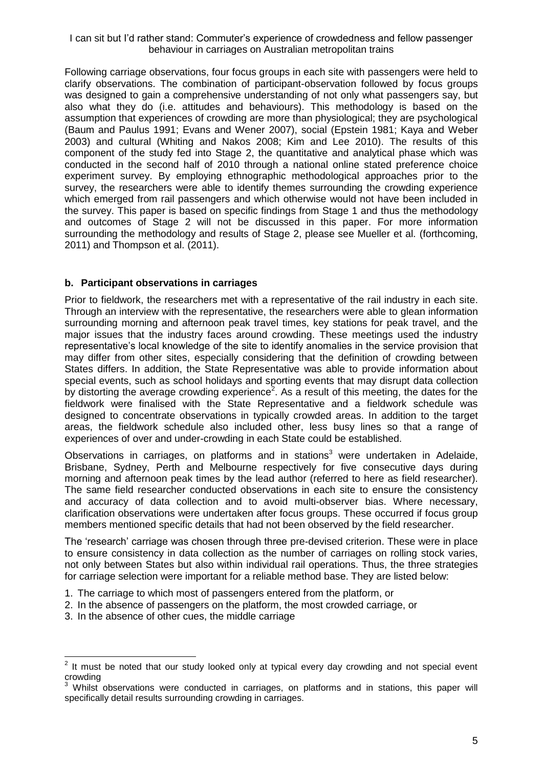Following carriage observations, four focus groups in each site with passengers were held to clarify observations. The combination of participant-observation followed by focus groups was designed to gain a comprehensive understanding of not only what passengers say, but also what they do (i.e. attitudes and behaviours). This methodology is based on the assumption that experiences of crowding are more than physiological; they are psychological [\(Baum and Paulus 1991;](#page-14-6) [Evans and Wener 2007\)](#page-15-4), social [\(Epstein 1981;](#page-14-7) [Kaya and Weber](#page-15-15)  [2003\)](#page-15-15) and cultural [\(Whiting and Nakos 2008;](#page-15-16) [Kim and Lee 2010\)](#page-15-17). The results of this component of the study fed into Stage 2, the quantitative and analytical phase which was conducted in the second half of 2010 through a national online stated preference choice experiment survey. By employing ethnographic methodological approaches prior to the survey, the researchers were able to identify themes surrounding the crowding experience which emerged from rail passengers and which otherwise would not have been included in the survey. This paper is based on specific findings from Stage 1 and thus the methodology and outcomes of Stage 2 will not be discussed in this paper. For more information surrounding the methodology and results of Stage 2, please see Mueller et al. [\(forthcoming,](#page-15-18)  [2011\)](#page-15-18) and Thompson et al. [\(2011\)](#page-15-19).

### **b. Participant observations in carriages**

Prior to fieldwork, the researchers met with a representative of the rail industry in each site. Through an interview with the representative, the researchers were able to glean information surrounding morning and afternoon peak travel times, key stations for peak travel, and the major issues that the industry faces around crowding. These meetings used the industry representative"s local knowledge of the site to identify anomalies in the service provision that may differ from other sites, especially considering that the definition of crowding between States differs. In addition, the State Representative was able to provide information about special events, such as school holidays and sporting events that may disrupt data collection by distorting the average crowding experience<sup>2</sup>. As a result of this meeting, the dates for the fieldwork were finalised with the State Representative and a fieldwork schedule was designed to concentrate observations in typically crowded areas. In addition to the target areas, the fieldwork schedule also included other, less busy lines so that a range of experiences of over and under-crowding in each State could be established.

Observations in carriages, on platforms and in stations<sup>3</sup> were undertaken in Adelaide, Brisbane, Sydney, Perth and Melbourne respectively for five consecutive days during morning and afternoon peak times by the lead author (referred to here as field researcher). The same field researcher conducted observations in each site to ensure the consistency and accuracy of data collection and to avoid multi-observer bias. Where necessary, clarification observations were undertaken after focus groups. These occurred if focus group members mentioned specific details that had not been observed by the field researcher.

The "research" carriage was chosen through three pre-devised criterion. These were in place to ensure consistency in data collection as the number of carriages on rolling stock varies, not only between States but also within individual rail operations. Thus, the three strategies for carriage selection were important for a reliable method base. They are listed below:

- 1. The carriage to which most of passengers entered from the platform, or
- 2. In the absence of passengers on the platform, the most crowded carriage, or
- 3. In the absence of other cues, the middle carriage

 2 It must be noted that our study looked only at typical every day crowding and not special event crowding

Whilst observations were conducted in carriages, on platforms and in stations, this paper will specifically detail results surrounding crowding in carriages.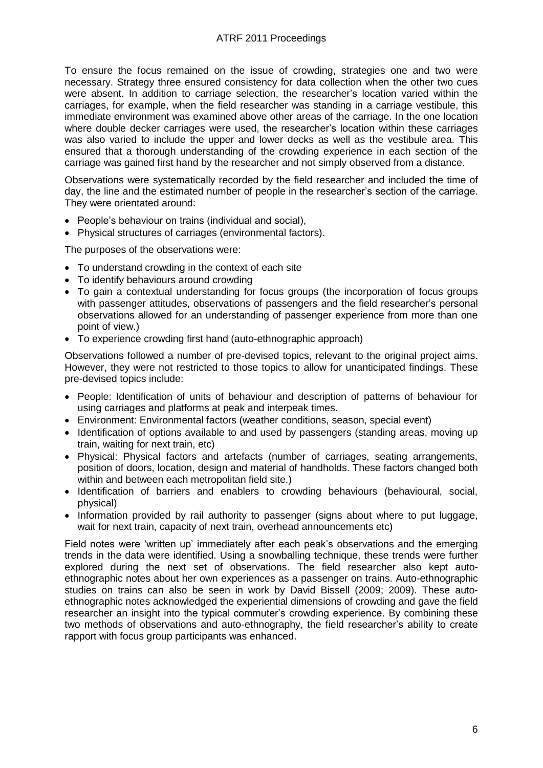To ensure the focus remained on the issue of crowding, strategies one and two were necessary. Strategy three ensured consistency for data collection when the other two cues were absent. In addition to carriage selection, the researcher"s location varied within the carriages, for example, when the field researcher was standing in a carriage vestibule, this immediate environment was examined above other areas of the carriage. In the one location where double decker carriages were used, the researcher"s location within these carriages was also varied to include the upper and lower decks as well as the vestibule area. This ensured that a thorough understanding of the crowding experience in each section of the carriage was gained first hand by the researcher and not simply observed from a distance.

Observations were systematically recorded by the field researcher and included the time of day, the line and the estimated number of people in the researcher"s section of the carriage. They were orientated around:

- People's behaviour on trains (individual and social),
- Physical structures of carriages (environmental factors).

The purposes of the observations were:

- To understand crowding in the context of each site
- To identify behaviours around crowding
- To gain a contextual understanding for focus groups (the incorporation of focus groups with passenger attitudes, observations of passengers and the field researcher's personal observations allowed for an understanding of passenger experience from more than one point of view.)
- To experience crowding first hand (auto-ethnographic approach)

Observations followed a number of pre-devised topics, relevant to the original project aims. However, they were not restricted to those topics to allow for unanticipated findings. These pre-devised topics include:

- People: Identification of units of behaviour and description of patterns of behaviour for using carriages and platforms at peak and interpeak times.
- Environment: Environmental factors (weather conditions, season, special event)
- Identification of options available to and used by passengers (standing areas, moving up train, waiting for next train, etc)
- Physical: Physical factors and artefacts (number of carriages, seating arrangements, position of doors, location, design and material of handholds. These factors changed both within and between each metropolitan field site.)
- Identification of barriers and enablers to crowding behaviours (behavioural, social, physical)
- Information provided by rail authority to passenger (signs about where to put luggage, wait for next train, capacity of next train, overhead announcements etc)

Field notes were 'written up' immediately after each peak's observations and the emerging trends in the data were identified. Using a snowballing technique, these trends were further explored during the next set of observations. The field researcher also kept autoethnographic notes about her own experiences as a passenger on trains. Auto-ethnographic studies on trains can also be seen in work by David Bissell [\(2009;](#page-14-8) [2009\)](#page-14-9). These autoethnographic notes acknowledged the experiential dimensions of crowding and gave the field researcher an insight into the typical commuter's crowding experience. By combining these two methods of observations and auto-ethnography, the field researcher"s ability to create rapport with focus group participants was enhanced.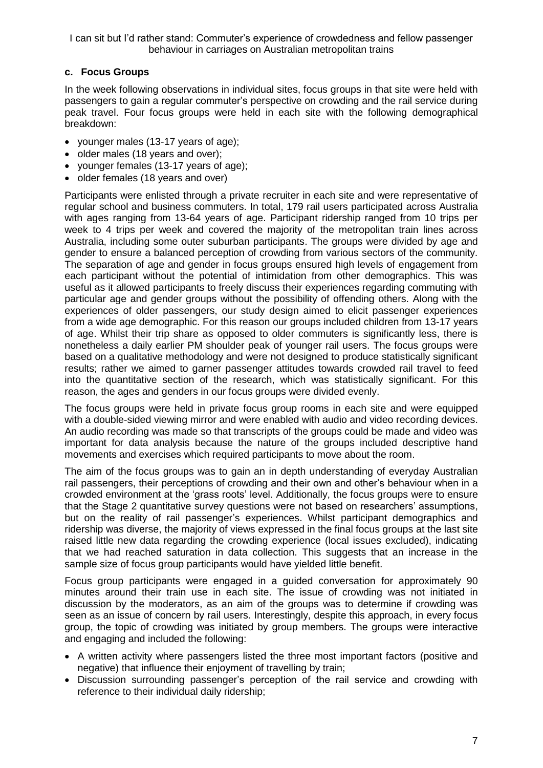### **c. Focus Groups**

In the week following observations in individual sites, focus groups in that site were held with passengers to gain a regular commuter"s perspective on crowding and the rail service during peak travel. Four focus groups were held in each site with the following demographical breakdown:

- younger males (13-17 years of age);
- older males (18 years and over);
- vounger females (13-17 years of age);
- older females (18 years and over)

Participants were enlisted through a private recruiter in each site and were representative of regular school and business commuters. In total, 179 rail users participated across Australia with ages ranging from 13-64 years of age. Participant ridership ranged from 10 trips per week to 4 trips per week and covered the majority of the metropolitan train lines across Australia, including some outer suburban participants. The groups were divided by age and gender to ensure a balanced perception of crowding from various sectors of the community. The separation of age and gender in focus groups ensured high levels of engagement from each participant without the potential of intimidation from other demographics. This was useful as it allowed participants to freely discuss their experiences regarding commuting with particular age and gender groups without the possibility of offending others. Along with the experiences of older passengers, our study design aimed to elicit passenger experiences from a wide age demographic. For this reason our groups included children from 13-17 years of age. Whilst their trip share as opposed to older commuters is significantly less, there is nonetheless a daily earlier PM shoulder peak of younger rail users. The focus groups were based on a qualitative methodology and were not designed to produce statistically significant results; rather we aimed to garner passenger attitudes towards crowded rail travel to feed into the quantitative section of the research, which was statistically significant. For this reason, the ages and genders in our focus groups were divided evenly.

The focus groups were held in private focus group rooms in each site and were equipped with a double-sided viewing mirror and were enabled with audio and video recording devices. An audio recording was made so that transcripts of the groups could be made and video was important for data analysis because the nature of the groups included descriptive hand movements and exercises which required participants to move about the room.

The aim of the focus groups was to gain an in depth understanding of everyday Australian rail passengers, their perceptions of crowding and their own and other"s behaviour when in a crowded environment at the "grass roots" level. Additionally, the focus groups were to ensure that the Stage 2 quantitative survey questions were not based on researchers" assumptions, but on the reality of rail passenger's experiences. Whilst participant demographics and ridership was diverse, the majority of views expressed in the final focus groups at the last site raised little new data regarding the crowding experience (local issues excluded), indicating that we had reached saturation in data collection. This suggests that an increase in the sample size of focus group participants would have yielded little benefit.

Focus group participants were engaged in a guided conversation for approximately 90 minutes around their train use in each site. The issue of crowding was not initiated in discussion by the moderators, as an aim of the groups was to determine if crowding was seen as an issue of concern by rail users. Interestingly, despite this approach, in every focus group, the topic of crowding was initiated by group members. The groups were interactive and engaging and included the following:

- A written activity where passengers listed the three most important factors (positive and negative) that influence their enjoyment of travelling by train;
- Discussion surrounding passenger"s perception of the rail service and crowding with reference to their individual daily ridership;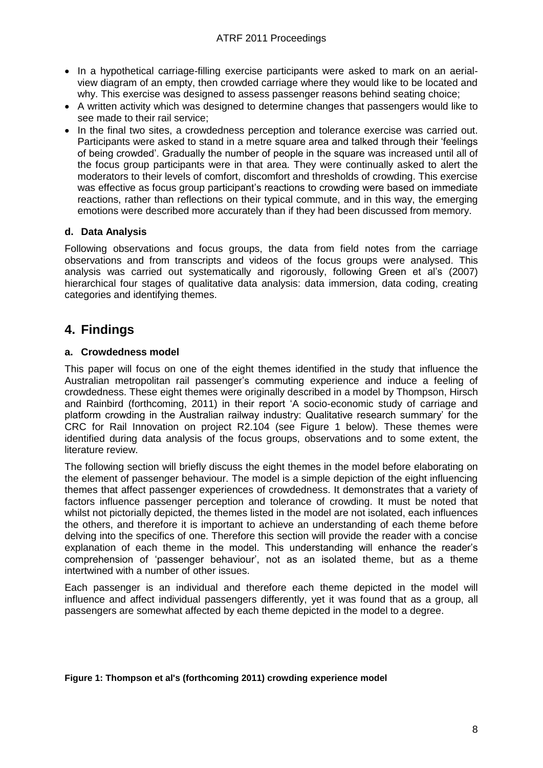- In a hypothetical carriage-filling exercise participants were asked to mark on an aerialview diagram of an empty, then crowded carriage where they would like to be located and why. This exercise was designed to assess passenger reasons behind seating choice;
- A written activity which was designed to determine changes that passengers would like to see made to their rail service;
- In the final two sites, a crowdedness perception and tolerance exercise was carried out. Participants were asked to stand in a metre square area and talked through their "feelings of being crowded". Gradually the number of people in the square was increased until all of the focus group participants were in that area. They were continually asked to alert the moderators to their levels of comfort, discomfort and thresholds of crowding. This exercise was effective as focus group participant"s reactions to crowding were based on immediate reactions, rather than reflections on their typical commute, and in this way, the emerging emotions were described more accurately than if they had been discussed from memory.

### **d. Data Analysis**

Following observations and focus groups, the data from field notes from the carriage observations and from transcripts and videos of the focus groups were analysed. This analysis was carried out systematically and rigorously, following Green et al"s [\(2007\)](#page-15-20) hierarchical four stages of qualitative data analysis: data immersion, data coding, creating categories and identifying themes.

### **4. Findings**

### **a. Crowdedness model**

This paper will focus on one of the eight themes identified in the study that influence the Australian metropolitan rail passenger"s commuting experience and induce a feeling of crowdedness. These eight themes were originally described in a model by Thompson, Hirsch and Rainbird [\(forthcoming, 2011\)](#page-15-21) in their report "A socio-economic study of carriage and platform crowding in the Australian railway industry: Qualitative research summary" for the CRC for Rail Innovation on project R2.104 (see [Figure 1](#page-8-0) below). These themes were identified during data analysis of the focus groups, observations and to some extent, the literature review.

The following section will briefly discuss the eight themes in the model before elaborating on the element of passenger behaviour. The model is a simple depiction of the eight influencing themes that affect passenger experiences of crowdedness. It demonstrates that a variety of factors influence passenger perception and tolerance of crowding. It must be noted that whilst not pictorially depicted, the themes listed in the model are not isolated, each influences the others, and therefore it is important to achieve an understanding of each theme before delving into the specifics of one. Therefore this section will provide the reader with a concise explanation of each theme in the model. This understanding will enhance the reader"s comprehension of "passenger behaviour", not as an isolated theme, but as a theme intertwined with a number of other issues.

Each passenger is an individual and therefore each theme depicted in the model will influence and affect individual passengers differently, yet it was found that as a group, all passengers are somewhat affected by each theme depicted in the model to a degree.

#### <span id="page-8-0"></span>**Figure 1: Thompson et al's (forthcoming 2011) crowding experience model**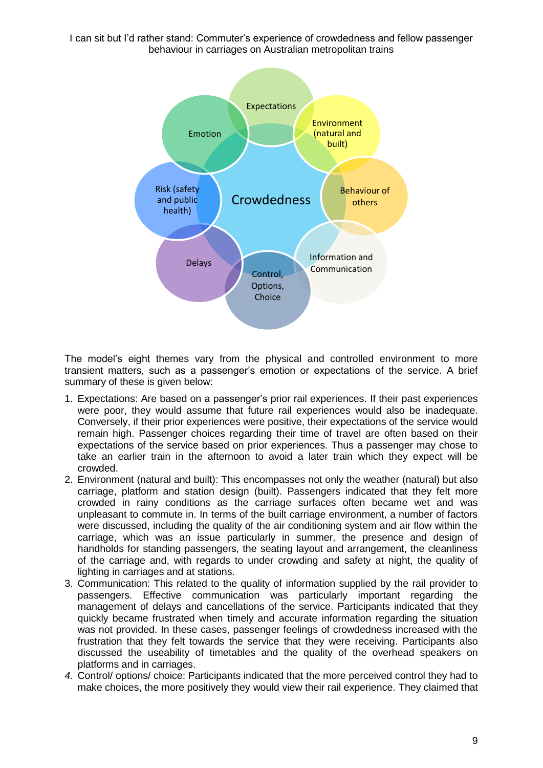

The model"s eight themes vary from the physical and controlled environment to more transient matters, such as a passenger"s emotion or expectations of the service. A brief summary of these is given below:

- 1. Expectations: Are based on a passenger"s prior rail experiences. If their past experiences were poor, they would assume that future rail experiences would also be inadequate. Conversely, if their prior experiences were positive, their expectations of the service would remain high. Passenger choices regarding their time of travel are often based on their expectations of the service based on prior experiences. Thus a passenger may chose to take an earlier train in the afternoon to avoid a later train which they expect will be crowded.
- 2. Environment (natural and built): This encompasses not only the weather (natural) but also carriage, platform and station design (built). Passengers indicated that they felt more crowded in rainy conditions as the carriage surfaces often became wet and was unpleasant to commute in. In terms of the built carriage environment, a number of factors were discussed, including the quality of the air conditioning system and air flow within the carriage, which was an issue particularly in summer, the presence and design of handholds for standing passengers, the seating layout and arrangement, the cleanliness of the carriage and, with regards to under crowding and safety at night, the quality of lighting in carriages and at stations.
- 3. Communication: This related to the quality of information supplied by the rail provider to passengers. Effective communication was particularly important regarding the management of delays and cancellations of the service. Participants indicated that they quickly became frustrated when timely and accurate information regarding the situation was not provided. In these cases, passenger feelings of crowdedness increased with the frustration that they felt towards the service that they were receiving. Participants also discussed the useability of timetables and the quality of the overhead speakers on platforms and in carriages.
- *4.* Control/ options/ choice: Participants indicated that the more perceived control they had to make choices, the more positively they would view their rail experience. They claimed that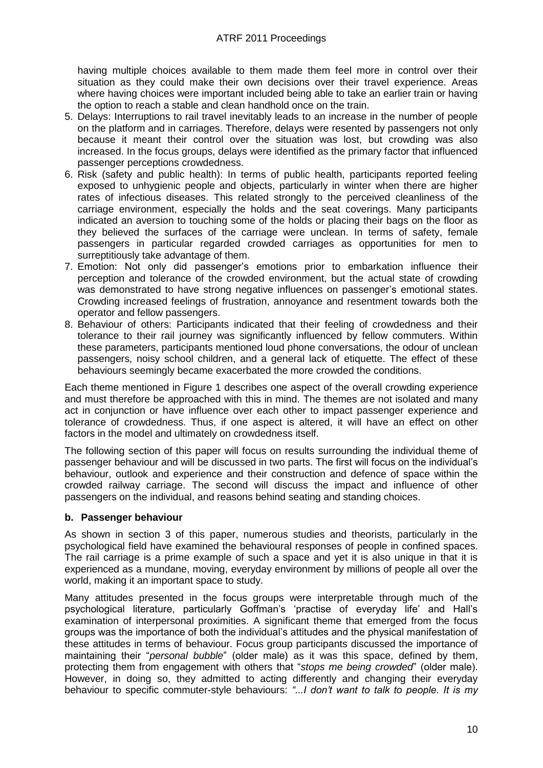having multiple choices available to them made them feel more in control over their situation as they could make their own decisions over their travel experience. Areas where having choices were important included being able to take an earlier train or having the option to reach a stable and clean handhold once on the train.

- 5. Delays: Interruptions to rail travel inevitably leads to an increase in the number of people on the platform and in carriages. Therefore, delays were resented by passengers not only because it meant their control over the situation was lost, but crowding was also increased. In the focus groups, delays were identified as the primary factor that influenced passenger perceptions crowdedness.
- 6. Risk (safety and public health): In terms of public health, participants reported feeling exposed to unhygienic people and objects, particularly in winter when there are higher rates of infectious diseases. This related strongly to the perceived cleanliness of the carriage environment, especially the holds and the seat coverings. Many participants indicated an aversion to touching some of the holds or placing their bags on the floor as they believed the surfaces of the carriage were unclean. In terms of safety, female passengers in particular regarded crowded carriages as opportunities for men to surreptitiously take advantage of them.
- 7. Emotion: Not only did passenger"s emotions prior to embarkation influence their perception and tolerance of the crowded environment, but the actual state of crowding was demonstrated to have strong negative influences on passenger's emotional states. Crowding increased feelings of frustration, annoyance and resentment towards both the operator and fellow passengers.
- 8. Behaviour of others: Participants indicated that their feeling of crowdedness and their tolerance to their rail journey was significantly influenced by fellow commuters. Within these parameters, participants mentioned loud phone conversations, the odour of unclean passengers, noisy school children, and a general lack of etiquette. The effect of these behaviours seemingly became exacerbated the more crowded the conditions.

Each theme mentioned in [Figure 1](#page-8-0) describes one aspect of the overall crowding experience and must therefore be approached with this in mind. The themes are not isolated and many act in conjunction or have influence over each other to impact passenger experience and tolerance of crowdedness. Thus, if one aspect is altered, it will have an effect on other factors in the model and ultimately on crowdedness itself.

The following section of this paper will focus on results surrounding the individual theme of passenger behaviour and will be discussed in two parts. The first will focus on the individual"s behaviour, outlook and experience and their construction and defence of space within the crowded railway carriage. The second will discuss the impact and influence of other passengers on the individual, and reasons behind seating and standing choices.

### **b. Passenger behaviour**

As shown in section 3 of this paper, numerous studies and theorists, particularly in the psychological field have examined the behavioural responses of people in confined spaces. The rail carriage is a prime example of such a space and yet it is also unique in that it is experienced as a mundane, moving, everyday environment by millions of people all over the world, making it an important space to study.

Many attitudes presented in the focus groups were interpretable through much of the psychological literature, particularly Goffman's 'practise of everyday life' and Hall's examination of interpersonal proximities. A significant theme that emerged from the focus groups was the importance of both the individual"s attitudes and the physical manifestation of these attitudes in terms of behaviour. Focus group participants discussed the importance of maintaining their "*personal bubble*" (older male) as it was this space, defined by them, protecting them from engagement with others that "*stops me being crowded*" (older male). However, in doing so, they admitted to acting differently and changing their everyday behaviour to specific commuter-style behaviours: *"...I don't want to talk to people. It is my*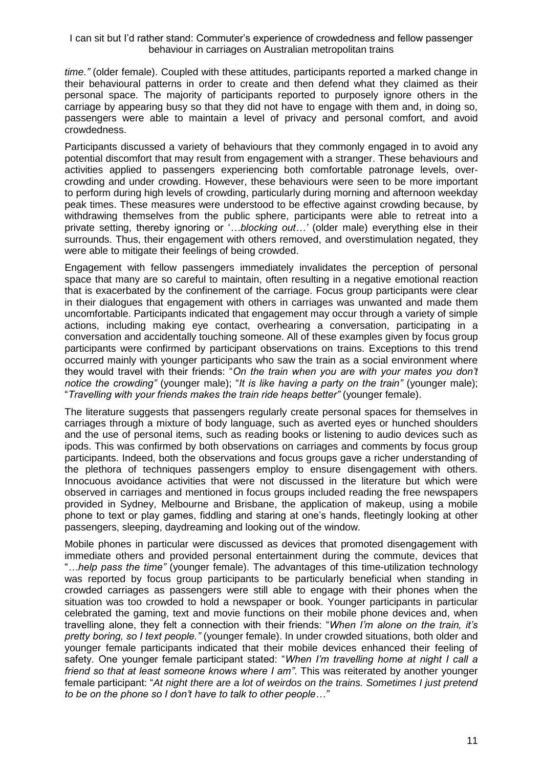*time."* (older female). Coupled with these attitudes, participants reported a marked change in their behavioural patterns in order to create and then defend what they claimed as their personal space. The majority of participants reported to purposely ignore others in the carriage by appearing busy so that they did not have to engage with them and, in doing so, passengers were able to maintain a level of privacy and personal comfort, and avoid crowdedness.

Participants discussed a variety of behaviours that they commonly engaged in to avoid any potential discomfort that may result from engagement with a stranger. These behaviours and activities applied to passengers experiencing both comfortable patronage levels, overcrowding and under crowding. However, these behaviours were seen to be more important to perform during high levels of crowding, particularly during morning and afternoon weekday peak times. These measures were understood to be effective against crowding because, by withdrawing themselves from the public sphere, participants were able to retreat into a private setting, thereby ignoring or "*…blocking out…'* (older male) everything else in their surrounds. Thus, their engagement with others removed, and overstimulation negated, they were able to mitigate their feelings of being crowded.

Engagement with fellow passengers immediately invalidates the perception of personal space that many are so careful to maintain, often resulting in a negative emotional reaction that is exacerbated by the confinement of the carriage. Focus group participants were clear in their dialogues that engagement with others in carriages was unwanted and made them uncomfortable. Participants indicated that engagement may occur through a variety of simple actions, including making eye contact, overhearing a conversation, participating in a conversation and accidentally touching someone. All of these examples given by focus group participants were confirmed by participant observations on trains. Exceptions to this trend occurred mainly with younger participants who saw the train as a social environment where they would travel with their friends: "*On the train when you are with your mates you don't notice the crowding"* (younger male); "*It is like having a party on the train"* (younger male); "*Travelling with your friends makes the train ride heaps better"* (younger female).

The literature suggests that passengers regularly create personal spaces for themselves in carriages through a mixture of body language, such as averted eyes or hunched shoulders and the use of personal items, such as reading books or listening to audio devices such as ipods. This was confirmed by both observations on carriages and comments by focus group participants. Indeed, both the observations and focus groups gave a richer understanding of the plethora of techniques passengers employ to ensure disengagement with others. Innocuous avoidance activities that were not discussed in the literature but which were observed in carriages and mentioned in focus groups included reading the free newspapers provided in Sydney, Melbourne and Brisbane, the application of makeup, using a mobile phone to text or play games, fiddling and staring at one"s hands, fleetingly looking at other passengers, sleeping, daydreaming and looking out of the window.

Mobile phones in particular were discussed as devices that promoted disengagement with immediate others and provided personal entertainment during the commute, devices that "*…help pass the time"* (younger female). The advantages of this time-utilization technology was reported by focus group participants to be particularly beneficial when standing in crowded carriages as passengers were still able to engage with their phones when the situation was too crowded to hold a newspaper or book. Younger participants in particular celebrated the gaming, text and movie functions on their mobile phone devices and, when travelling alone, they felt a connection with their friends: "*When I'm alone on the train, it's pretty boring, so I text people."* (younger female). In under crowded situations, both older and younger female participants indicated that their mobile devices enhanced their feeling of safety. One younger female participant stated: "*When I'm travelling home at night I call a friend so that at least someone knows where I am"*. This was reiterated by another younger female participant: "*At night there are a lot of weirdos on the trains. Sometimes I just pretend to be on the phone so I don't have to talk to other people…"*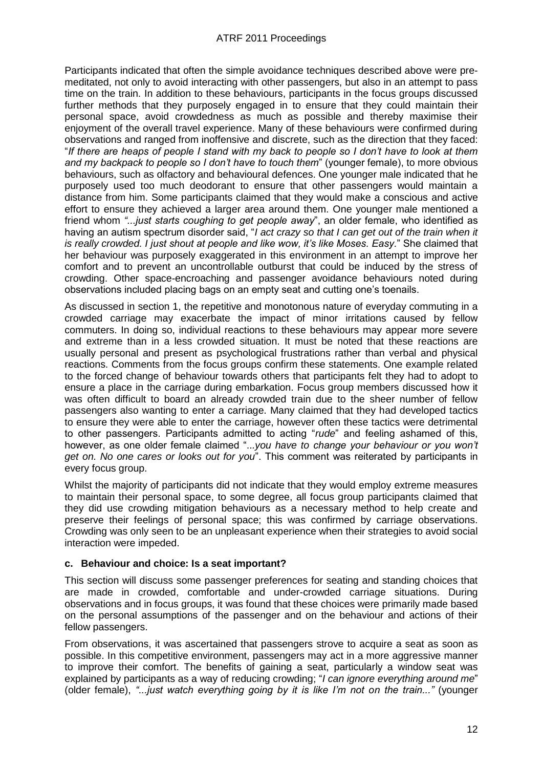Participants indicated that often the simple avoidance techniques described above were premeditated, not only to avoid interacting with other passengers, but also in an attempt to pass time on the train. In addition to these behaviours, participants in the focus groups discussed further methods that they purposely engaged in to ensure that they could maintain their personal space, avoid crowdedness as much as possible and thereby maximise their enjoyment of the overall travel experience. Many of these behaviours were confirmed during observations and ranged from inoffensive and discrete, such as the direction that they faced: "*If there are heaps of people I stand with my back to people so I don't have to look at them and my backpack to people so I don't have to touch them*" (younger female), to more obvious behaviours, such as olfactory and behavioural defences. One younger male indicated that he purposely used too much deodorant to ensure that other passengers would maintain a distance from him. Some participants claimed that they would make a conscious and active effort to ensure they achieved a larger area around them. One younger male mentioned a friend whom *"...just starts coughing to get people away*", an older female, who identified as having an autism spectrum disorder said, "*I act crazy so that I can get out of the train when it is really crowded. I just shout at people and like wow, it's like Moses. Easy.*" She claimed that her behaviour was purposely exaggerated in this environment in an attempt to improve her comfort and to prevent an uncontrollable outburst that could be induced by the stress of crowding. Other space-encroaching and passenger avoidance behaviours noted during observations included placing bags on an empty seat and cutting one"s toenails.

As discussed in section 1, the repetitive and monotonous nature of everyday commuting in a crowded carriage may exacerbate the impact of minor irritations caused by fellow commuters. In doing so, individual reactions to these behaviours may appear more severe and extreme than in a less crowded situation. It must be noted that these reactions are usually personal and present as psychological frustrations rather than verbal and physical reactions. Comments from the focus groups confirm these statements. One example related to the forced change of behaviour towards others that participants felt they had to adopt to ensure a place in the carriage during embarkation. Focus group members discussed how it was often difficult to board an already crowded train due to the sheer number of fellow passengers also wanting to enter a carriage. Many claimed that they had developed tactics to ensure they were able to enter the carriage, however often these tactics were detrimental to other passengers. Participants admitted to acting "*rude*" and feeling ashamed of this, however, as one older female claimed "..*.you have to change your behaviour or you won't get on. No one cares or looks out for you*". This comment was reiterated by participants in every focus group.

Whilst the majority of participants did not indicate that they would employ extreme measures to maintain their personal space, to some degree, all focus group participants claimed that they did use crowding mitigation behaviours as a necessary method to help create and preserve their feelings of personal space; this was confirmed by carriage observations. Crowding was only seen to be an unpleasant experience when their strategies to avoid social interaction were impeded.

### **c. Behaviour and choice: Is a seat important?**

This section will discuss some passenger preferences for seating and standing choices that are made in crowded, comfortable and under-crowded carriage situations. During observations and in focus groups, it was found that these choices were primarily made based on the personal assumptions of the passenger and on the behaviour and actions of their fellow passengers.

From observations, it was ascertained that passengers strove to acquire a seat as soon as possible. In this competitive environment, passengers may act in a more aggressive manner to improve their comfort. The benefits of gaining a seat, particularly a window seat was explained by participants as a way of reducing crowding; "*I can ignore everything around me*" (older female), *"...just watch everything going by it is like I'm not on the train..."* (younger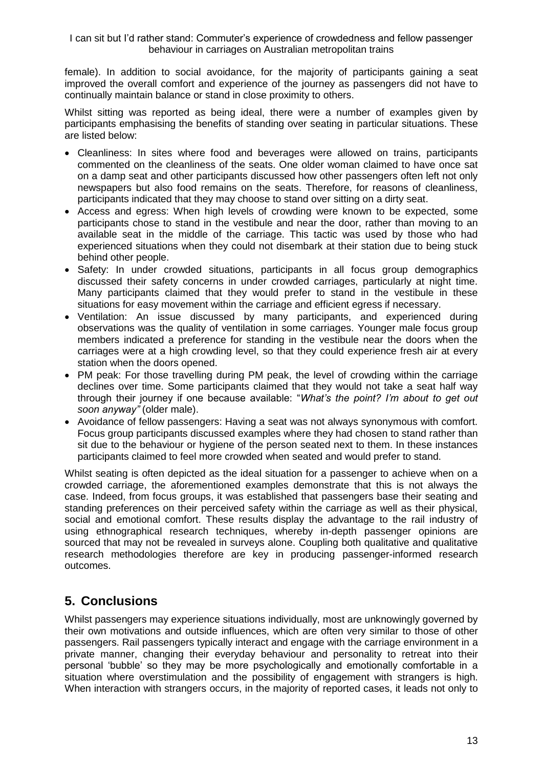female). In addition to social avoidance, for the majority of participants gaining a seat improved the overall comfort and experience of the journey as passengers did not have to continually maintain balance or stand in close proximity to others.

Whilst sitting was reported as being ideal, there were a number of examples given by participants emphasising the benefits of standing over seating in particular situations. These are listed below:

- Cleanliness: In sites where food and beverages were allowed on trains, participants commented on the cleanliness of the seats. One older woman claimed to have once sat on a damp seat and other participants discussed how other passengers often left not only newspapers but also food remains on the seats. Therefore, for reasons of cleanliness, participants indicated that they may choose to stand over sitting on a dirty seat.
- Access and egress: When high levels of crowding were known to be expected, some participants chose to stand in the vestibule and near the door, rather than moving to an available seat in the middle of the carriage. This tactic was used by those who had experienced situations when they could not disembark at their station due to being stuck behind other people.
- Safety: In under crowded situations, participants in all focus group demographics discussed their safety concerns in under crowded carriages, particularly at night time. Many participants claimed that they would prefer to stand in the vestibule in these situations for easy movement within the carriage and efficient egress if necessary.
- Ventilation: An issue discussed by many participants, and experienced during observations was the quality of ventilation in some carriages. Younger male focus group members indicated a preference for standing in the vestibule near the doors when the carriages were at a high crowding level, so that they could experience fresh air at every station when the doors opened.
- PM peak: For those travelling during PM peak, the level of crowding within the carriage declines over time. Some participants claimed that they would not take a seat half way through their journey if one because available: "*What's the point? I'm about to get out soon anyway"* (older male).
- Avoidance of fellow passengers: Having a seat was not always synonymous with comfort. Focus group participants discussed examples where they had chosen to stand rather than sit due to the behaviour or hygiene of the person seated next to them. In these instances participants claimed to feel more crowded when seated and would prefer to stand.

Whilst seating is often depicted as the ideal situation for a passenger to achieve when on a crowded carriage, the aforementioned examples demonstrate that this is not always the case. Indeed, from focus groups, it was established that passengers base their seating and standing preferences on their perceived safety within the carriage as well as their physical, social and emotional comfort. These results display the advantage to the rail industry of using ethnographical research techniques, whereby in-depth passenger opinions are sourced that may not be revealed in surveys alone. Coupling both qualitative and qualitative research methodologies therefore are key in producing passenger-informed research outcomes.

## **5. Conclusions**

Whilst passengers may experience situations individually, most are unknowingly governed by their own motivations and outside influences, which are often very similar to those of other passengers. Rail passengers typically interact and engage with the carriage environment in a private manner, changing their everyday behaviour and personality to retreat into their personal "bubble" so they may be more psychologically and emotionally comfortable in a situation where overstimulation and the possibility of engagement with strangers is high. When interaction with strangers occurs, in the majority of reported cases, it leads not only to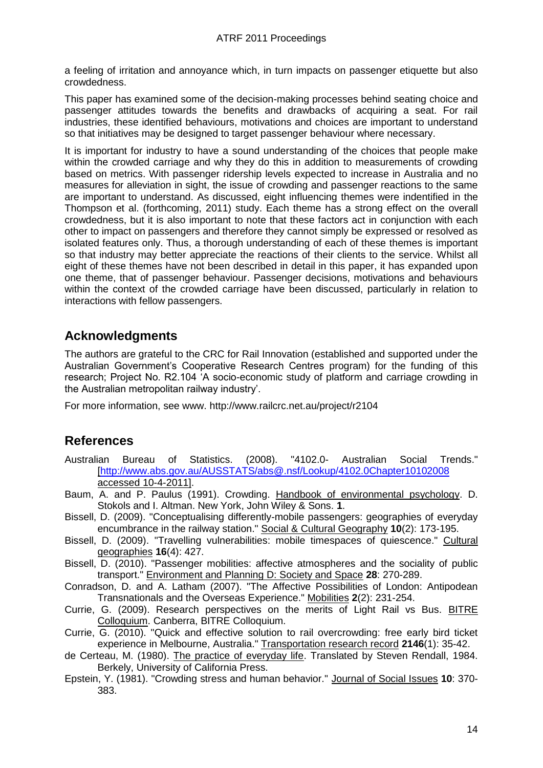a feeling of irritation and annoyance which, in turn impacts on passenger etiquette but also crowdedness.

This paper has examined some of the decision-making processes behind seating choice and passenger attitudes towards the benefits and drawbacks of acquiring a seat. For rail industries, these identified behaviours, motivations and choices are important to understand so that initiatives may be designed to target passenger behaviour where necessary.

It is important for industry to have a sound understanding of the choices that people make within the crowded carriage and why they do this in addition to measurements of crowding based on metrics. With passenger ridership levels expected to increase in Australia and no measures for alleviation in sight, the issue of crowding and passenger reactions to the same are important to understand. As discussed, eight influencing themes were indentified in the Thompson et al. [\(forthcoming, 2011\)](#page-15-21) study. Each theme has a strong effect on the overall crowdedness, but it is also important to note that these factors act in conjunction with each other to impact on passengers and therefore they cannot simply be expressed or resolved as isolated features only. Thus, a thorough understanding of each of these themes is important so that industry may better appreciate the reactions of their clients to the service. Whilst all eight of these themes have not been described in detail in this paper, it has expanded upon one theme, that of passenger behaviour. Passenger decisions, motivations and behaviours within the context of the crowded carriage have been discussed, particularly in relation to interactions with fellow passengers.

# **Acknowledgments**

The authors are grateful to the CRC for Rail Innovation (established and supported under the Australian Government"s Cooperative Research Centres program) for the funding of this research; Project No. R2.104 "A socio-economic study of platform and carriage crowding in the Australian metropolitan railway industry".

For more information, see www. http://www.railcrc.net.au/project/r2104

## **References**

- <span id="page-14-0"></span>Australian Bureau of Statistics. (2008). "4102.0- Australian Social Trends." [\[http://www.abs.gov.au/AUSSTATS/abs@.nsf/Lookup/4102.0Chapter10102008](http://www.abs.gov.au/AUSSTATS/abs@.nsf/Lookup/4102.0Chapter10102008) accessed 10-4-2011].
- <span id="page-14-6"></span>Baum, A. and P. Paulus (1991). Crowding. Handbook of environmental psychology. D. Stokols and I. Altman. New York, John Wiley & Sons. **1**.
- <span id="page-14-8"></span>Bissell, D. (2009). "Conceptualising differently-mobile passengers: geographies of everyday encumbrance in the railway station." Social & Cultural Geography **10**(2): 173-195.
- <span id="page-14-9"></span>Bissell, D. (2009). "Travelling vulnerabilities: mobile timespaces of quiescence." Cultural geographies **16**(4): 427.
- <span id="page-14-3"></span>Bissell, D. (2010). "Passenger mobilities: affective atmospheres and the sociality of public transport." Environment and Planning D: Society and Space **28**: 270-289.
- <span id="page-14-5"></span>Conradson, D. and A. Latham (2007). "The Affective Possibilities of London: Antipodean Transnationals and the Overseas Experience." Mobilities **2**(2): 231-254.
- <span id="page-14-2"></span>Currie, G. (2009). Research perspectives on the merits of Light Rail vs Bus. BITRE Colloquium. Canberra, BITRE Colloquium.
- <span id="page-14-1"></span>Currie, G. (2010). "Quick and effective solution to rail overcrowding: free early bird ticket experience in Melbourne, Australia." Transportation research record **2146**(1): 35-42.
- <span id="page-14-4"></span>de Certeau, M. (1980). The practice of everyday life. Translated by Steven Rendall, 1984. Berkely, University of California Press.
- <span id="page-14-7"></span>Epstein, Y. (1981). "Crowding stress and human behavior." Journal of Social Issues **10**: 370- 383.